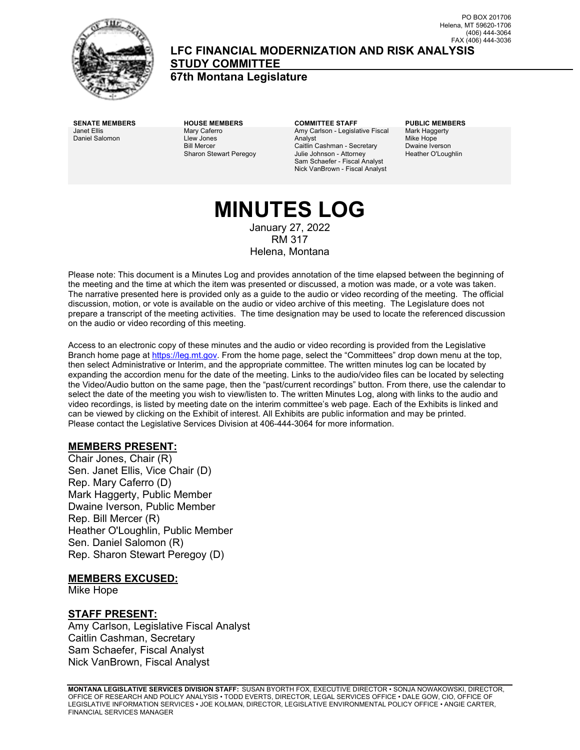

**LFC FINANCIAL MODERNIZATION AND RISK ANALYSIS STUDY COMMITTEE**

**67th Montana Legislature**

Janet Ellis Daniel Salomon Mary Caferro Llew Jones Bill Mercer Sharon Stewart Peregoy

**SENATE MEMBERS HOUSE MEMBERS COMMITTEE STAFF PUBLIC MEMBERS** Amy Carlson - Legislative Fiscal Analyst Caitlin Cashman - Secretary Julie Johnson - Attorney Sam Schaefer - Fiscal Analyst Nick VanBrown - Fiscal Analyst

Mark Haggerty Mike Hope Dwaine Iverson Heather O'Loughlin

# **MINUTES LOG**

January 27, 2022 RM 317 Helena, Montana

Please note: This document is a Minutes Log and provides annotation of the time elapsed between the beginning of the meeting and the time at which the item was presented or discussed, a motion was made, or a vote was taken. The narrative presented here is provided only as a guide to the audio or video recording of the meeting. The official discussion, motion, or vote is available on the audio or video archive of this meeting. The Legislature does not prepare a transcript of the meeting activities. The time designation may be used to locate the referenced discussion on the audio or video recording of this meeting.

Access to an electronic copy of these minutes and the audio or video recording is provided from the Legislative Branch home page a[t https://leg.mt.gov.](http://legmt.gov/) From the home page, select the "Committees" drop down menu at the top, then select Administrative or Interim, and the appropriate committee. The written minutes log can be located by expanding the accordion menu for the date of the meeting. Links to the audio/video files can be located by selecting the Video/Audio button on the same page, then the "past/current recordings" button. From there, use the calendar to select the date of the meeting you wish to view/listen to. The written Minutes Log, along with links to the audio and video recordings, is listed by meeting date on the interim committee's web page. Each of the Exhibits is linked and can be viewed by clicking on the Exhibit of interest. All Exhibits are public information and may be printed. Please contact the Legislative Services Division at 406-444-3064 for more information.

# **MEMBERS PRESENT:**

Chair Jones, Chair (R) Sen. Janet Ellis, Vice Chair (D) Rep. Mary Caferro (D) Mark Haggerty, Public Member Dwaine Iverson, Public Member Rep. Bill Mercer (R) Heather O'Loughlin, Public Member Sen. Daniel Salomon (R) Rep. Sharon Stewart Peregoy (D)

# **MEMBERS EXCUSED:**

Mike Hope

#### **STAFF PRESENT:**

Amy Carlson, Legislative Fiscal Analyst Caitlin Cashman, Secretary Sam Schaefer, Fiscal Analyst Nick VanBrown, Fiscal Analyst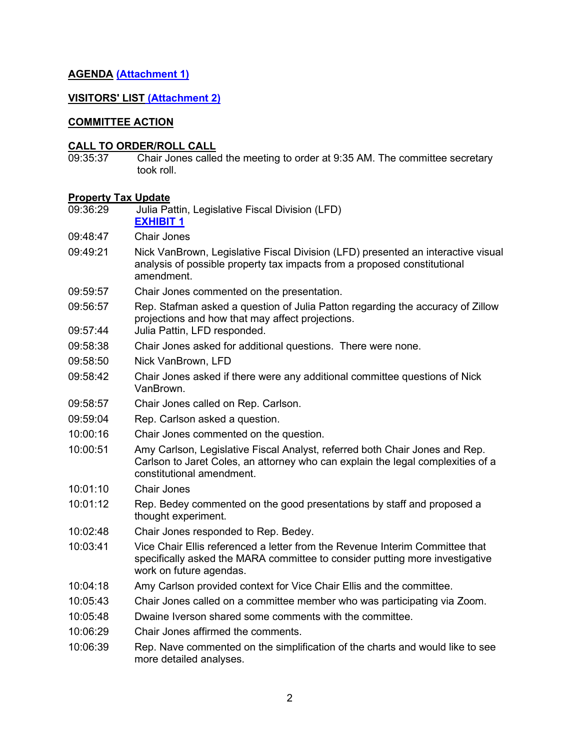# **AGENDA [\(Attachment 1\)](https://leg.mt.gov/content/publications/fiscal/2023-Interim/Jan-2022/MARA-Agenda-Jan22.pdf)**

### **VISITORS' LIST [\(Attachment 2\)](https://leg.mt.gov/content/publications/fiscal/2023-Interim/Jan-2022/MARARemotePublic-Comment.pdf)**

#### **COMMITTEE ACTION**

#### **CALL TO ORDER/ROLL CALL**

09:35:37 Chair Jones called the meeting to order at 9:35 AM. The committee secretary took roll.

# **Property Tax Update**

- Julia Pattin, Legislative Fiscal Division (LFD) **[EXHIBIT](https://leg.mt.gov/content/publications/fiscal/2023-Interim/Jan-2022/Prop-Tax-Example-for-FY-2024.pdf) 1**
- 09:48:47 Chair Jones
- 09:49:21 Nick VanBrown, Legislative Fiscal Division (LFD) presented an interactive visual analysis of possible property tax impacts from a proposed constitutional amendment.
- 09:59:57 Chair Jones commented on the presentation.
- 09:56:57 Rep. Stafman asked a question of Julia Patton regarding the accuracy of Zillow projections and how that may affect projections.
- 09:57:44 Julia Pattin, LFD responded.
- 09:58:38 Chair Jones asked for additional questions. There were none.
- 09:58:50 Nick VanBrown, LFD
- 09:58:42 Chair Jones asked if there were any additional committee questions of Nick VanBrown.
- 09:58:57 Chair Jones called on Rep. Carlson.
- 09:59:04 Rep. Carlson asked a question.
- 10:00:16 Chair Jones commented on the question.
- 10:00:51 Amy Carlson, Legislative Fiscal Analyst, referred both Chair Jones and Rep. Carlson to Jaret Coles, an attorney who can explain the legal complexities of a constitutional amendment.
- 10:01:10 Chair Jones
- 10:01:12 Rep. Bedey commented on the good presentations by staff and proposed a thought experiment.
- 10:02:48 Chair Jones responded to Rep. Bedey.
- 10:03:41 Vice Chair Ellis referenced a letter from the Revenue Interim Committee that specifically asked the MARA committee to consider putting more investigative work on future agendas.
- 10:04:18 Amy Carlson provided context for Vice Chair Ellis and the committee.
- 10:05:43 Chair Jones called on a committee member who was participating via Zoom.
- 10:05:48 Dwaine Iverson shared some comments with the committee.
- 10:06:29 Chair Jones affirmed the comments.
- 10:06:39 Rep. Nave commented on the simplification of the charts and would like to see more detailed analyses.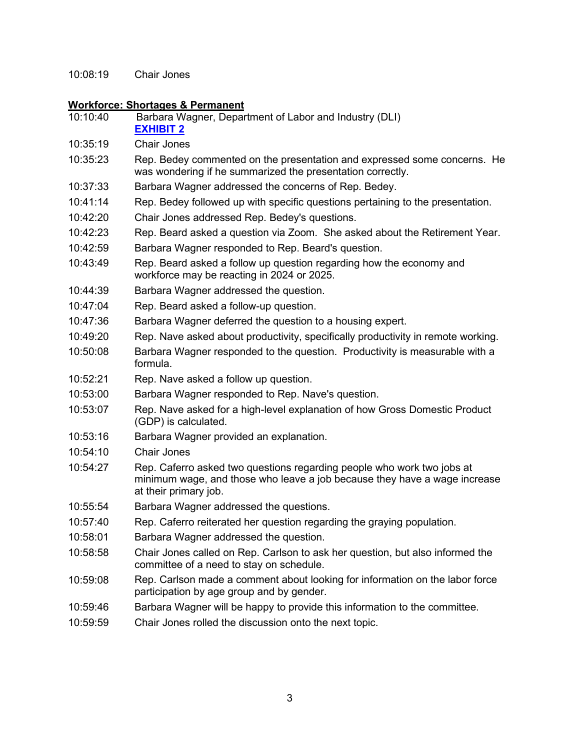10:08:19 Chair Jones

# **Workforce: Shortages & Permanent**

| 10:10:40 | Barbara Wagner, Department of Labor and Industry (DLI)<br><b>EXHIBIT 2</b>                                                                                                   |
|----------|------------------------------------------------------------------------------------------------------------------------------------------------------------------------------|
| 10:35:19 | <b>Chair Jones</b>                                                                                                                                                           |
| 10:35:23 | Rep. Bedey commented on the presentation and expressed some concerns. He<br>was wondering if he summarized the presentation correctly.                                       |
| 10:37:33 | Barbara Wagner addressed the concerns of Rep. Bedey.                                                                                                                         |
| 10:41:14 | Rep. Bedey followed up with specific questions pertaining to the presentation.                                                                                               |
| 10:42:20 | Chair Jones addressed Rep. Bedey's questions.                                                                                                                                |
| 10:42:23 | Rep. Beard asked a question via Zoom. She asked about the Retirement Year.                                                                                                   |
| 10:42:59 | Barbara Wagner responded to Rep. Beard's question.                                                                                                                           |
| 10:43:49 | Rep. Beard asked a follow up question regarding how the economy and<br>workforce may be reacting in 2024 or 2025.                                                            |
| 10:44:39 | Barbara Wagner addressed the question.                                                                                                                                       |
| 10:47:04 | Rep. Beard asked a follow-up question.                                                                                                                                       |
| 10:47:36 | Barbara Wagner deferred the question to a housing expert.                                                                                                                    |
| 10:49:20 | Rep. Nave asked about productivity, specifically productivity in remote working.                                                                                             |
| 10:50:08 | Barbara Wagner responded to the question. Productivity is measurable with a<br>formula.                                                                                      |
| 10:52:21 | Rep. Nave asked a follow up question.                                                                                                                                        |
| 10:53:00 | Barbara Wagner responded to Rep. Nave's question.                                                                                                                            |
| 10:53:07 | Rep. Nave asked for a high-level explanation of how Gross Domestic Product<br>(GDP) is calculated.                                                                           |
| 10:53:16 | Barbara Wagner provided an explanation.                                                                                                                                      |
| 10:54:10 | <b>Chair Jones</b>                                                                                                                                                           |
| 10:54:27 | Rep. Caferro asked two questions regarding people who work two jobs at<br>minimum wage, and those who leave a job because they have a wage increase<br>at their primary job. |
| 10:55:54 | Barbara Wagner addressed the questions.                                                                                                                                      |
| 10:57:40 | Rep. Caferro reiterated her question regarding the graying population.                                                                                                       |
| 10:58:01 | Barbara Wagner addressed the question.                                                                                                                                       |
| 10:58:58 | Chair Jones called on Rep. Carlson to ask her question, but also informed the<br>committee of a need to stay on schedule.                                                    |
| 10:59:08 | Rep. Carlson made a comment about looking for information on the labor force<br>participation by age group and by gender.                                                    |
| 10:59:46 | Barbara Wagner will be happy to provide this information to the committee.                                                                                                   |
| 10:59:59 | Chair Jones rolled the discussion onto the next topic.                                                                                                                       |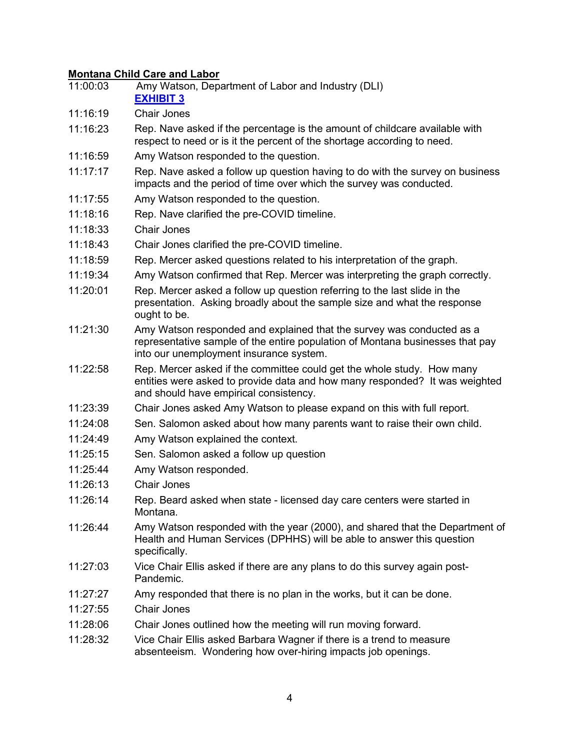# **Montana Child Care and Labor**

| 11:00:03 | Amy Watson, Department of Labor and Industry (DLI)<br><b>EXHIBIT 3</b>                                                                                                                            |
|----------|---------------------------------------------------------------------------------------------------------------------------------------------------------------------------------------------------|
| 11:16:19 | <b>Chair Jones</b>                                                                                                                                                                                |
| 11:16:23 | Rep. Nave asked if the percentage is the amount of childcare available with<br>respect to need or is it the percent of the shortage according to need.                                            |
| 11:16:59 | Amy Watson responded to the question.                                                                                                                                                             |
| 11:17:17 | Rep. Nave asked a follow up question having to do with the survey on business<br>impacts and the period of time over which the survey was conducted.                                              |
| 11:17:55 | Amy Watson responded to the question.                                                                                                                                                             |
| 11:18:16 | Rep. Nave clarified the pre-COVID timeline.                                                                                                                                                       |
| 11:18:33 | <b>Chair Jones</b>                                                                                                                                                                                |
| 11:18:43 | Chair Jones clarified the pre-COVID timeline.                                                                                                                                                     |
| 11:18:59 | Rep. Mercer asked questions related to his interpretation of the graph.                                                                                                                           |
| 11:19:34 | Amy Watson confirmed that Rep. Mercer was interpreting the graph correctly.                                                                                                                       |
| 11:20:01 | Rep. Mercer asked a follow up question referring to the last slide in the<br>presentation. Asking broadly about the sample size and what the response<br>ought to be.                             |
| 11:21:30 | Amy Watson responded and explained that the survey was conducted as a<br>representative sample of the entire population of Montana businesses that pay<br>into our unemployment insurance system. |
| 11:22:58 | Rep. Mercer asked if the committee could get the whole study. How many<br>entities were asked to provide data and how many responded? It was weighted<br>and should have empirical consistency.   |
| 11:23:39 | Chair Jones asked Amy Watson to please expand on this with full report.                                                                                                                           |
| 11:24:08 | Sen. Salomon asked about how many parents want to raise their own child.                                                                                                                          |
| 11:24:49 | Amy Watson explained the context.                                                                                                                                                                 |
| 11:25:15 | Sen. Salomon asked a follow up question                                                                                                                                                           |
| 11:25:44 | Amy Watson responded.                                                                                                                                                                             |
| 11:26:13 | <b>Chair Jones</b>                                                                                                                                                                                |
| 11:26:14 | Rep. Beard asked when state - licensed day care centers were started in<br>Montana.                                                                                                               |
| 11:26:44 | Amy Watson responded with the year (2000), and shared that the Department of<br>Health and Human Services (DPHHS) will be able to answer this question<br>specifically.                           |
| 11:27:03 | Vice Chair Ellis asked if there are any plans to do this survey again post-<br>Pandemic.                                                                                                          |
| 11:27:27 | Amy responded that there is no plan in the works, but it can be done.                                                                                                                             |
| 11:27:55 | <b>Chair Jones</b>                                                                                                                                                                                |
| 11:28:06 | Chair Jones outlined how the meeting will run moving forward.                                                                                                                                     |
| 11:28:32 | Vice Chair Ellis asked Barbara Wagner if there is a trend to measure<br>absenteeism. Wondering how over-hiring impacts job openings.                                                              |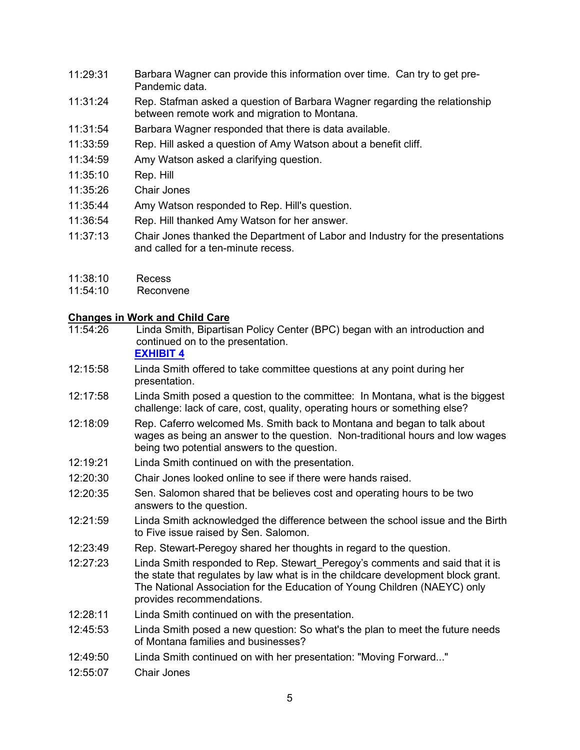- 11:29:31 Barbara Wagner can provide this information over time. Can try to get pre-Pandemic data.
- 11:31:24 Rep. Stafman asked a question of Barbara Wagner regarding the relationship between remote work and migration to Montana.
- 11:31:54 Barbara Wagner responded that there is data available.
- 11:33:59 Rep. Hill asked a question of Amy Watson about a benefit cliff.
- 11:34:59 Amy Watson asked a clarifying question.
- 11:35:10 Rep. Hill
- 11:35:26 Chair Jones
- 11:35:44 Amy Watson responded to Rep. Hill's question.
- 11:36:54 Rep. Hill thanked Amy Watson for her answer.
- 11:37:13 Chair Jones thanked the Department of Labor and Industry for the presentations and called for a ten-minute recess.
- 11:38:10 Recess
- 11:54:10 Reconvene

# **Changes in Work and Child Care**<br>11:54:26 Linda Smith, Bipartis

Linda Smith, Bipartisan Policy Center (BPC) began with an introduction and continued on to the presentation.

# **[EXHIBIT 4](https://leg.mt.gov/content/publications/fiscal/2023-Interim/Jan-2022/Montana-MARA-slides.pdf)**

- 12:15:58 Linda Smith offered to take committee questions at any point during her presentation.
- 12:17:58 Linda Smith posed a question to the committee: In Montana, what is the biggest challenge: lack of care, cost, quality, operating hours or something else?
- 12:18:09 Rep. Caferro welcomed Ms. Smith back to Montana and began to talk about wages as being an answer to the question. Non-traditional hours and low wages being two potential answers to the question.
- 12:19:21 Linda Smith continued on with the presentation.
- 12:20:30 Chair Jones looked online to see if there were hands raised.
- 12:20:35 Sen. Salomon shared that be believes cost and operating hours to be two answers to the question.
- 12:21:59 Linda Smith acknowledged the difference between the school issue and the Birth to Five issue raised by Sen. Salomon.
- 12:23:49 Rep. Stewart-Peregoy shared her thoughts in regard to the question.
- 12:27:23 Linda Smith responded to Rep. Stewart\_Peregoy's comments and said that it is the state that regulates by law what is in the childcare development block grant. The National Association for the Education of Young Children (NAEYC) only provides recommendations.
- 12:28:11 Linda Smith continued on with the presentation.
- 12:45:53 Linda Smith posed a new question: So what's the plan to meet the future needs of Montana families and businesses?
- 12:49:50 Linda Smith continued on with her presentation: "Moving Forward..."
- 12:55:07 Chair Jones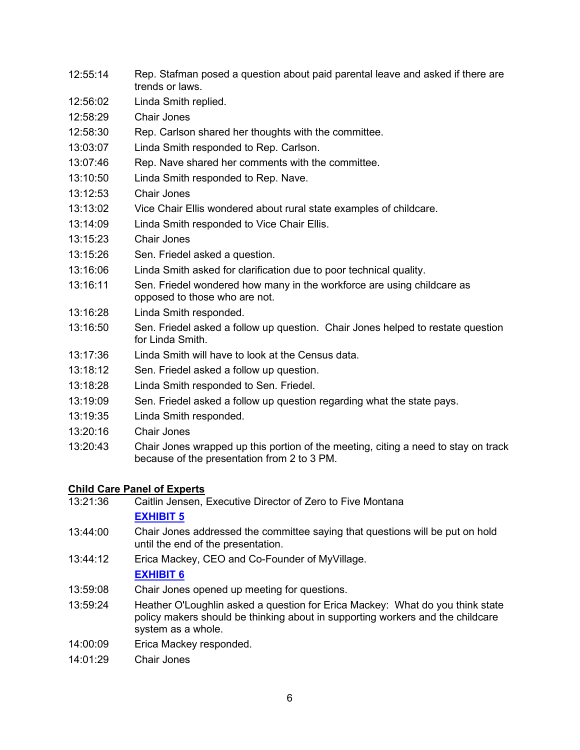- 12:55:14 Rep. Stafman posed a question about paid parental leave and asked if there are trends or laws.
- 12:56:02 Linda Smith replied.
- 12:58:29 Chair Jones
- 12:58:30 Rep. Carlson shared her thoughts with the committee.
- 13:03:07 Linda Smith responded to Rep. Carlson.
- 13:07:46 Rep. Nave shared her comments with the committee.
- 13:10:50 Linda Smith responded to Rep. Nave.
- 13:12:53 Chair Jones
- 13:13:02 Vice Chair Ellis wondered about rural state examples of childcare.
- 13:14:09 Linda Smith responded to Vice Chair Ellis.
- 13:15:23 Chair Jones
- 13:15:26 Sen. Friedel asked a question.
- 13:16:06 Linda Smith asked for clarification due to poor technical quality.
- 13:16:11 Sen. Friedel wondered how many in the workforce are using childcare as opposed to those who are not.
- 13:16:28 Linda Smith responded.
- 13:16:50 Sen. Friedel asked a follow up question. Chair Jones helped to restate question for Linda Smith.
- 13:17:36 Linda Smith will have to look at the Census data.
- 13:18:12 Sen. Friedel asked a follow up question.
- 13:18:28 Linda Smith responded to Sen. Friedel.
- 13:19:09 Sen. Friedel asked a follow up question regarding what the state pays.
- 13:19:35 Linda Smith responded.
- 13:20:16 Chair Jones
- 13:20:43 Chair Jones wrapped up this portion of the meeting, citing a need to stay on track because of the presentation from 2 to 3 PM.

# **Child Care Panel of Experts**<br>13:21:36 **Caitlin Jensen**

- Caitlin Jensen, Executive Director of Zero to Five Montana **[EXHIBIT](https://leg.mt.gov/content/publications/fiscal/2023-Interim/Jan-2022/1.27.2022-ZtF-Mara-PPT.pdf) 5**
- 13:44:00 Chair Jones addressed the committee saying that questions will be put on hold until the end of the presentation.
- 13:44:12 Erica Mackey, CEO and Co-Founder of MyVillage.

# **[EXHIBIT](https://leg.mt.gov/content/publications/fiscal/2023-Interim/Jan-2022/MyVillage-MT-MARA-Panel-Jan-27-2021.pdf) 6**

- 13:59:08 Chair Jones opened up meeting for questions.
- 13:59:24 Heather O'Loughlin asked a question for Erica Mackey: What do you think state policy makers should be thinking about in supporting workers and the childcare system as a whole.
- 14:00:09 Erica Mackey responded.
- 14:01:29 Chair Jones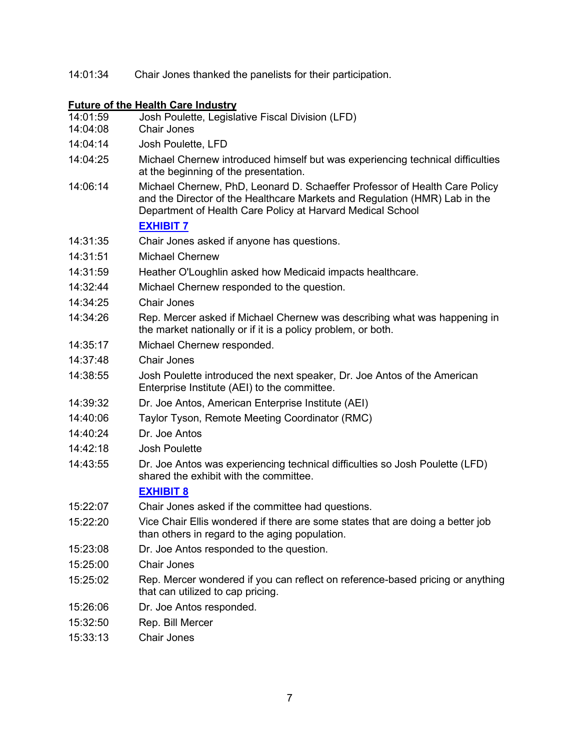14:01:34 Chair Jones thanked the panelists for their participation.

# **Future of the Health Care Industry**

| 14:01:59<br>14:04:08 | Josh Poulette, Legislative Fiscal Division (LFD)<br><b>Chair Jones</b>                                                                                                                                                 |
|----------------------|------------------------------------------------------------------------------------------------------------------------------------------------------------------------------------------------------------------------|
| 14:04:14             | Josh Poulette, LFD                                                                                                                                                                                                     |
| 14:04:25             | Michael Chernew introduced himself but was experiencing technical difficulties<br>at the beginning of the presentation.                                                                                                |
| 14:06:14             | Michael Chernew, PhD, Leonard D. Schaeffer Professor of Health Care Policy<br>and the Director of the Healthcare Markets and Regulation (HMR) Lab in the<br>Department of Health Care Policy at Harvard Medical School |
|                      | <b>EXHIBIT 7</b>                                                                                                                                                                                                       |
| 14:31:35             | Chair Jones asked if anyone has questions.                                                                                                                                                                             |
| 14:31:51             | <b>Michael Chernew</b>                                                                                                                                                                                                 |
| 14:31:59             | Heather O'Loughlin asked how Medicaid impacts healthcare.                                                                                                                                                              |
| 14:32:44             | Michael Chernew responded to the question.                                                                                                                                                                             |
| 14:34:25             | <b>Chair Jones</b>                                                                                                                                                                                                     |
| 14:34:26             | Rep. Mercer asked if Michael Chernew was describing what was happening in<br>the market nationally or if it is a policy problem, or both.                                                                              |
| 14:35:17             | Michael Chernew responded.                                                                                                                                                                                             |
| 14:37:48             | Chair Jones                                                                                                                                                                                                            |
| 14:38:55             | Josh Poulette introduced the next speaker, Dr. Joe Antos of the American<br>Enterprise Institute (AEI) to the committee.                                                                                               |
| 14:39:32             | Dr. Joe Antos, American Enterprise Institute (AEI)                                                                                                                                                                     |
| 14:40:06             | Taylor Tyson, Remote Meeting Coordinator (RMC)                                                                                                                                                                         |
| 14:40:24             | Dr. Joe Antos                                                                                                                                                                                                          |
| 14:42:18             | <b>Josh Poulette</b>                                                                                                                                                                                                   |
| 14:43:55             | Dr. Joe Antos was experiencing technical difficulties so Josh Poulette (LFD)<br>shared the exhibit with the committee.                                                                                                 |
|                      | <b>EXHIBIT 8</b>                                                                                                                                                                                                       |
| 15:22:07             | Chair Jones asked if the committee had questions.                                                                                                                                                                      |
| 15:22:20             | Vice Chair Ellis wondered if there are some states that are doing a better job<br>than others in regard to the aging population.                                                                                       |
| 15:23:08             | Dr. Joe Antos responded to the question.                                                                                                                                                                               |
| 15:25:00             | <b>Chair Jones</b>                                                                                                                                                                                                     |
| 15:25:02             | Rep. Mercer wondered if you can reflect on reference-based pricing or anything<br>that can utilized to cap pricing.                                                                                                    |
| 15:26:06             | Dr. Joe Antos responded.                                                                                                                                                                                               |
| 15:32:50             | Rep. Bill Mercer                                                                                                                                                                                                       |
|                      |                                                                                                                                                                                                                        |

15:33:13 Chair Jones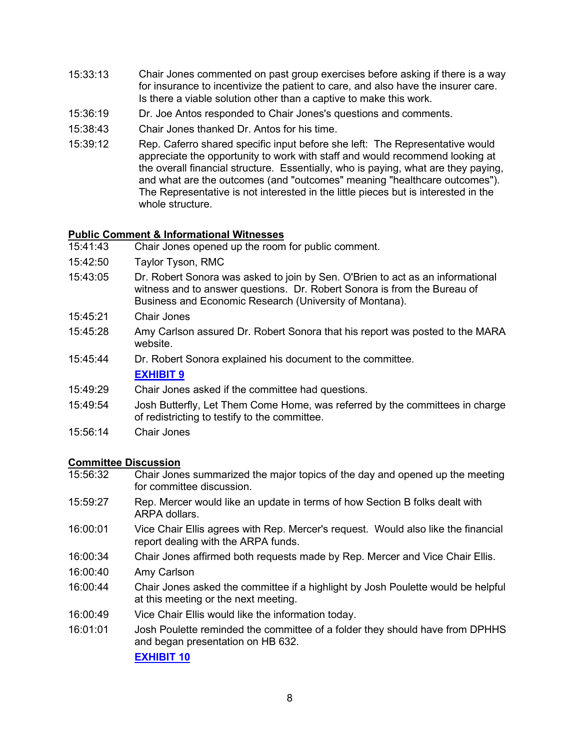- 15:33:13 Chair Jones commented on past group exercises before asking if there is a way for insurance to incentivize the patient to care, and also have the insurer care. Is there a viable solution other than a captive to make this work.
- 15:36:19 Dr. Joe Antos responded to Chair Jones's questions and comments.
- 15:38:43 Chair Jones thanked Dr. Antos for his time.
- 15:39:12 Rep. Caferro shared specific input before she left: The Representative would appreciate the opportunity to work with staff and would recommend looking at the overall financial structure. Essentially, who is paying, what are they paying, and what are the outcomes (and "outcomes" meaning "healthcare outcomes"). The Representative is not interested in the little pieces but is interested in the whole structure.

# **Public Comment & Informational Witnesses**

- Chair Jones opened up the room for public comment.
- 15:42:50 Taylor Tyson, RMC
- 15:43:05 Dr. Robert Sonora was asked to join by Sen. O'Brien to act as an informational witness and to answer questions. Dr. Robert Sonora is from the Bureau of Business and Economic Research (University of Montana).
- 15:45:21 Chair Jones
- 15:45:28 Amy Carlson assured Dr. Robert Sonora that his report was posted to the MARA website.
- 15:45:44 Dr. Robert Sonora explained his document to the committee. **[EXHIBIT 9](https://www.montanabusinessquarterly.com/child-care-gap-is-costing-montana-millions/)**
- 15:49:29 Chair Jones asked if the committee had questions.
- 15:49:54 Josh Butterfly, Let Them Come Home, was referred by the committees in charge of redistricting to testify to the committee.
- 15:56:14 Chair Jones

# **Committee Discussion**

- 15:56:32 Chair Jones summarized the major topics of the day and opened up the meeting for committee discussion.
- 15:59:27 Rep. Mercer would like an update in terms of how Section B folks dealt with ARPA dollars.
- 16:00:01 Vice Chair Ellis agrees with Rep. Mercer's request. Would also like the financial report dealing with the ARPA funds.
- 16:00:34 Chair Jones affirmed both requests made by Rep. Mercer and Vice Chair Ellis.
- 16:00:40 Amy Carlson
- 16:00:44 Chair Jones asked the committee if a highlight by Josh Poulette would be helpful at this meeting or the next meeting.
- 16:00:49 Vice Chair Ellis would like the information today.
- 16:01:01 Josh Poulette reminded the committee of a folder they should have from DPHHS and began presentation on HB 632.

**[EXHIBIT 10](https://leg.mt.gov/content/publications/fiscal/2023-Interim/Jan-2022/MARA-DPHHS-Update.pdf)**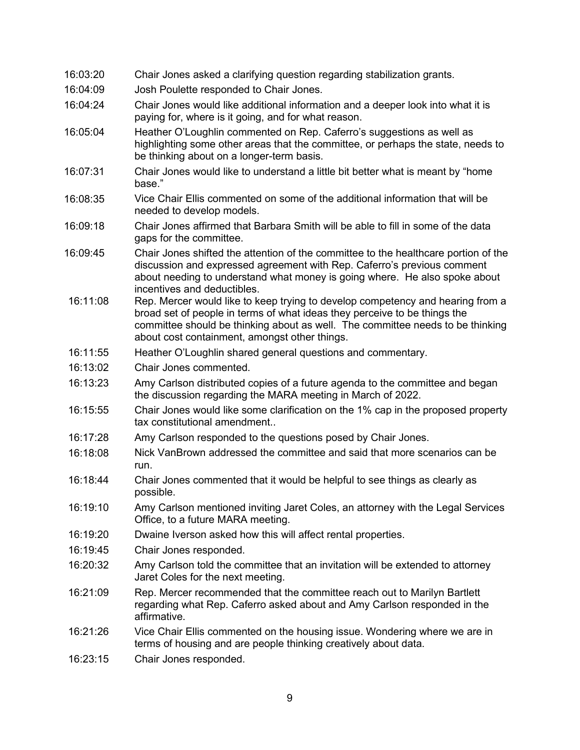| 16:03:20 | Chair Jones asked a clarifying question regarding stabilization grants.                                                                                                                                                                                                                        |
|----------|------------------------------------------------------------------------------------------------------------------------------------------------------------------------------------------------------------------------------------------------------------------------------------------------|
| 16:04:09 | Josh Poulette responded to Chair Jones.                                                                                                                                                                                                                                                        |
| 16:04:24 | Chair Jones would like additional information and a deeper look into what it is<br>paying for, where is it going, and for what reason.                                                                                                                                                         |
| 16:05:04 | Heather O'Loughlin commented on Rep. Caferro's suggestions as well as<br>highlighting some other areas that the committee, or perhaps the state, needs to<br>be thinking about on a longer-term basis.                                                                                         |
| 16:07:31 | Chair Jones would like to understand a little bit better what is meant by "home<br>base."                                                                                                                                                                                                      |
| 16:08:35 | Vice Chair Ellis commented on some of the additional information that will be<br>needed to develop models.                                                                                                                                                                                     |
| 16:09:18 | Chair Jones affirmed that Barbara Smith will be able to fill in some of the data<br>gaps for the committee.                                                                                                                                                                                    |
| 16:09:45 | Chair Jones shifted the attention of the committee to the healthcare portion of the<br>discussion and expressed agreement with Rep. Caferro's previous comment<br>about needing to understand what money is going where. He also spoke about<br>incentives and deductibles.                    |
| 16:11:08 | Rep. Mercer would like to keep trying to develop competency and hearing from a<br>broad set of people in terms of what ideas they perceive to be things the<br>committee should be thinking about as well. The committee needs to be thinking<br>about cost containment, amongst other things. |
| 16:11:55 | Heather O'Loughlin shared general questions and commentary.                                                                                                                                                                                                                                    |
| 16:13:02 | Chair Jones commented.                                                                                                                                                                                                                                                                         |
| 16:13:23 | Amy Carlson distributed copies of a future agenda to the committee and began<br>the discussion regarding the MARA meeting in March of 2022.                                                                                                                                                    |
| 16:15:55 | Chair Jones would like some clarification on the 1% cap in the proposed property<br>tax constitutional amendment                                                                                                                                                                               |
| 16:17:28 | Amy Carlson responded to the questions posed by Chair Jones.                                                                                                                                                                                                                                   |
| 16:18:08 | Nick VanBrown addressed the committee and said that more scenarios can be<br>run.                                                                                                                                                                                                              |
| 16:18:44 | Chair Jones commented that it would be helpful to see things as clearly as<br>possible.                                                                                                                                                                                                        |
| 16:19:10 | Amy Carlson mentioned inviting Jaret Coles, an attorney with the Legal Services<br>Office, to a future MARA meeting.                                                                                                                                                                           |
| 16:19:20 | Dwaine Iverson asked how this will affect rental properties.                                                                                                                                                                                                                                   |
| 16:19:45 | Chair Jones responded.                                                                                                                                                                                                                                                                         |
| 16:20:32 | Amy Carlson told the committee that an invitation will be extended to attorney<br>Jaret Coles for the next meeting.                                                                                                                                                                            |
| 16:21:09 | Rep. Mercer recommended that the committee reach out to Marilyn Bartlett<br>regarding what Rep. Caferro asked about and Amy Carlson responded in the<br>affirmative.                                                                                                                           |
| 16:21:26 | Vice Chair Ellis commented on the housing issue. Wondering where we are in<br>terms of housing and are people thinking creatively about data.                                                                                                                                                  |
| 16:23:15 | Chair Jones responded.                                                                                                                                                                                                                                                                         |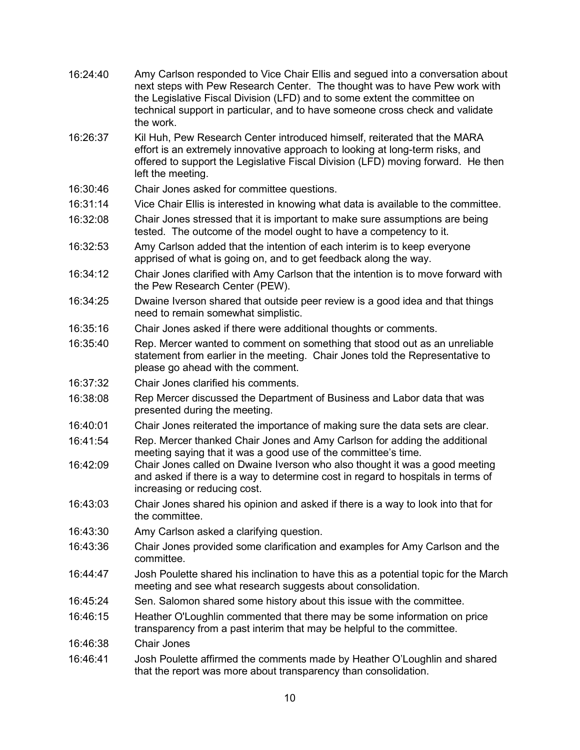| 16:24:40 | Amy Carlson responded to Vice Chair Ellis and segued into a conversation about<br>next steps with Pew Research Center. The thought was to have Pew work with<br>the Legislative Fiscal Division (LFD) and to some extent the committee on<br>technical support in particular, and to have someone cross check and validate<br>the work. |
|----------|-----------------------------------------------------------------------------------------------------------------------------------------------------------------------------------------------------------------------------------------------------------------------------------------------------------------------------------------|
| 16:26:37 | Kil Huh, Pew Research Center introduced himself, reiterated that the MARA<br>effort is an extremely innovative approach to looking at long-term risks, and<br>offered to support the Legislative Fiscal Division (LFD) moving forward. He then<br>left the meeting.                                                                     |
| 16:30:46 | Chair Jones asked for committee questions.                                                                                                                                                                                                                                                                                              |
| 16:31:14 | Vice Chair Ellis is interested in knowing what data is available to the committee.                                                                                                                                                                                                                                                      |
| 16:32:08 | Chair Jones stressed that it is important to make sure assumptions are being<br>tested. The outcome of the model ought to have a competency to it.                                                                                                                                                                                      |
| 16:32:53 | Amy Carlson added that the intention of each interim is to keep everyone<br>apprised of what is going on, and to get feedback along the way.                                                                                                                                                                                            |
| 16:34:12 | Chair Jones clarified with Amy Carlson that the intention is to move forward with<br>the Pew Research Center (PEW).                                                                                                                                                                                                                     |
| 16:34:25 | Dwaine Iverson shared that outside peer review is a good idea and that things<br>need to remain somewhat simplistic.                                                                                                                                                                                                                    |
| 16:35:16 | Chair Jones asked if there were additional thoughts or comments.                                                                                                                                                                                                                                                                        |
| 16:35:40 | Rep. Mercer wanted to comment on something that stood out as an unreliable<br>statement from earlier in the meeting. Chair Jones told the Representative to<br>please go ahead with the comment.                                                                                                                                        |
| 16:37:32 | Chair Jones clarified his comments.                                                                                                                                                                                                                                                                                                     |
| 16:38:08 | Rep Mercer discussed the Department of Business and Labor data that was<br>presented during the meeting.                                                                                                                                                                                                                                |
| 16:40:01 | Chair Jones reiterated the importance of making sure the data sets are clear.                                                                                                                                                                                                                                                           |
| 16:41:54 | Rep. Mercer thanked Chair Jones and Amy Carlson for adding the additional<br>meeting saying that it was a good use of the committee's time.                                                                                                                                                                                             |
| 16:42:09 | Chair Jones called on Dwaine Iverson who also thought it was a good meeting<br>and asked if there is a way to determine cost in regard to hospitals in terms of<br>increasing or reducing cost.                                                                                                                                         |
| 16:43:03 | Chair Jones shared his opinion and asked if there is a way to look into that for<br>the committee.                                                                                                                                                                                                                                      |
| 16:43:30 | Amy Carlson asked a clarifying question.                                                                                                                                                                                                                                                                                                |
| 16:43:36 | Chair Jones provided some clarification and examples for Amy Carlson and the<br>committee.                                                                                                                                                                                                                                              |
| 16:44:47 | Josh Poulette shared his inclination to have this as a potential topic for the March<br>meeting and see what research suggests about consolidation.                                                                                                                                                                                     |
| 16:45:24 | Sen. Salomon shared some history about this issue with the committee.                                                                                                                                                                                                                                                                   |
| 16:46:15 | Heather O'Loughlin commented that there may be some information on price<br>transparency from a past interim that may be helpful to the committee.                                                                                                                                                                                      |
| 16:46:38 | <b>Chair Jones</b>                                                                                                                                                                                                                                                                                                                      |
| 16:46:41 | Josh Poulette affirmed the comments made by Heather O'Loughlin and shared                                                                                                                                                                                                                                                               |

that the report was more about transparency than consolidation.